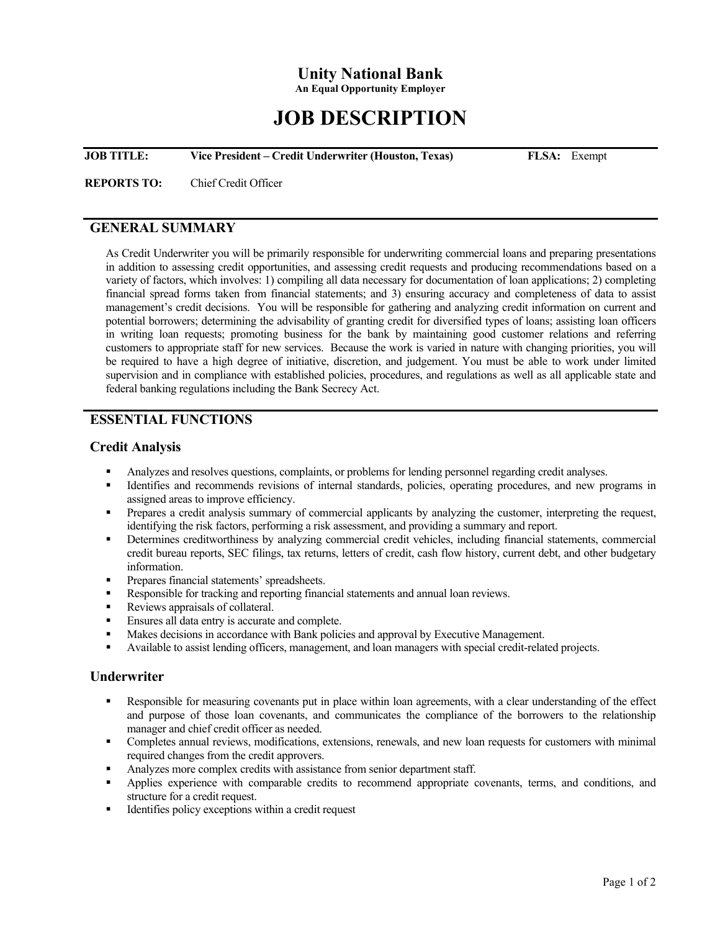# **Unity National Bank**

**An Equal Opportunity Employer** 

# **JOB DESCRIPTION**

**JOB TITLE:** Vice President – Credit Underwriter (Houston, Texas) FLSA: Exempt

**REPORTS TO:** Chief Credit Officer

### **GENERAL SUMMARY**

As Credit Underwriter you will be primarily responsible for underwriting commercial loans and preparing presentations in addition to assessing credit opportunities, and assessing credit requests and producing recommendations based on a variety of factors, which involves: 1) compiling all data necessary for documentation of loan applications; 2) completing financial spread forms taken from financial statements; and 3) ensuring accuracy and completeness of data to assist management's credit decisions. You will be responsible for gathering and analyzing credit information on current and potential borrowers; determining the advisability of granting credit for diversified types of loans; assisting loan officers in writing loan requests; promoting business for the bank by maintaining good customer relations and referring customers to appropriate staff for new services. Because the work is varied in nature with changing priorities, you will be required to have a high degree of initiative, discretion, and judgement. You must be able to work under limited supervision and in compliance with established policies, procedures, and regulations as well as all applicable state and federal banking regulations including the Bank Secrecy Act.

# **ESSENTIAL FUNCTIONS**

#### **Credit Analysis**

- Analyzes and resolves questions, complaints, or problems for lending personnel regarding credit analyses.
- Identifies and recommends revisions of internal standards, policies, operating procedures, and new programs in assigned areas to improve efficiency.
- Prepares a credit analysis summary of commercial applicants by analyzing the customer, interpreting the request, identifying the risk factors, performing a risk assessment, and providing a summary and report.
- Determines creditworthiness by analyzing commercial credit vehicles, including financial statements, commercial credit bureau reports, SEC filings, tax returns, letters of credit, cash flow history, current debt, and other budgetary information.
- **Prepares financial statements' spreadsheets.**
- Responsible for tracking and reporting financial statements and annual loan reviews.
- Reviews appraisals of collateral.
- **Ensures all data entry is accurate and complete.**
- Makes decisions in accordance with Bank policies and approval by Executive Management.
- Available to assist lending officers, management, and loan managers with special credit-related projects.

#### **Underwriter**

- Responsible for measuring covenants put in place within loan agreements, with a clear understanding of the effect and purpose of those loan covenants, and communicates the compliance of the borrowers to the relationship manager and chief credit officer as needed.
- Completes annual reviews, modifications, extensions, renewals, and new loan requests for customers with minimal required changes from the credit approvers.
- Analyzes more complex credits with assistance from senior department staff.
- Applies experience with comparable credits to recommend appropriate covenants, terms, and conditions, and structure for a credit request.
- Identifies policy exceptions within a credit request